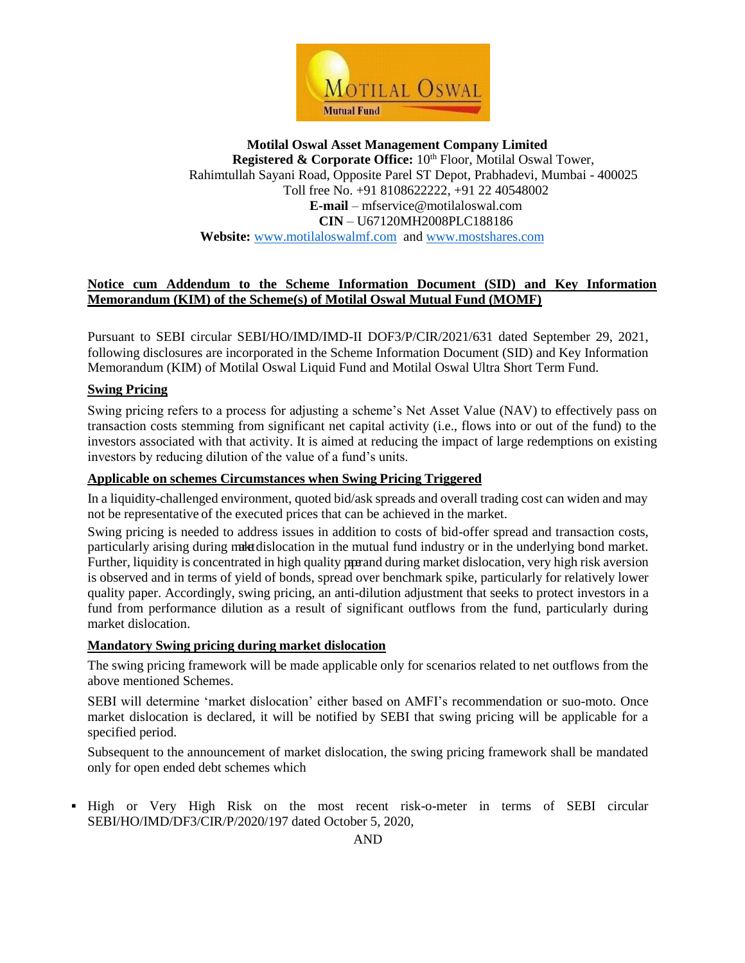

# **Notice cum Addendum to the Scheme Information Document (SID) and Key Information Memorandum (KIM) of the Scheme(s) of Motilal Oswal Mutual Fund (MOMF)**

Pursuant to SEBI circular SEBI/HO/IMD/IMD-II DOF3/P/CIR/2021/631 dated September 29, 2021, following disclosures are incorporated in the Scheme Information Document (SID) and Key Information Memorandum (KIM) of Motilal Oswal Liquid Fund and Motilal Oswal Ultra Short Term Fund.

#### **Swing Pricing**

Swing pricing refers to a process for adjusting a scheme's Net Asset Value (NAV) to effectively pass on transaction costs stemming from significant net capital activity (i.e., flows into or out of the fund) to the investors associated with that activity. It is aimed at reducing the impact of large redemptions on existing investors by reducing dilution of the value of a fund's units.

### **Applicable on schemes Circumstances when Swing Pricing Triggered**

In a liquidity-challenged environment, quoted bid/ask spreads and overall trading cost can widen and may not be representative of the executed prices that can be achieved in the market.

Swing pricing is needed to address issues in addition to costs of bid-offer spread and transaction costs, particularly arising during make dislocation in the mutual fund industry or in the underlying bond market. Further, liquidity is concentrated in high quality parand during market dislocation, very high risk aversion is observed and in terms of yield of bonds, spread over benchmark spike, particularly for relatively lower quality paper. Accordingly, swing pricing, an anti-dilution adjustment that seeks to protect investors in a fund from performance dilution as a result of significant outflows from the fund, particularly during market dislocation.

#### **Mandatory Swing pricing during market dislocation**

The swing pricing framework will be made applicable only for scenarios related to net outflows from the above mentioned Schemes.

SEBI will determine 'market dislocation' either based on AMFI's recommendation or suo-moto. Once market dislocation is declared, it will be notified by SEBI that swing pricing will be applicable for a specified period.

Subsequent to the announcement of market dislocation, the swing pricing framework shall be mandated only for open ended debt schemes which

High or Very High Risk on the most recent risk-o-meter in terms of SEBI circular SEBI/HO/IMD/DF3/CIR/P/2020/197 dated October 5, 2020,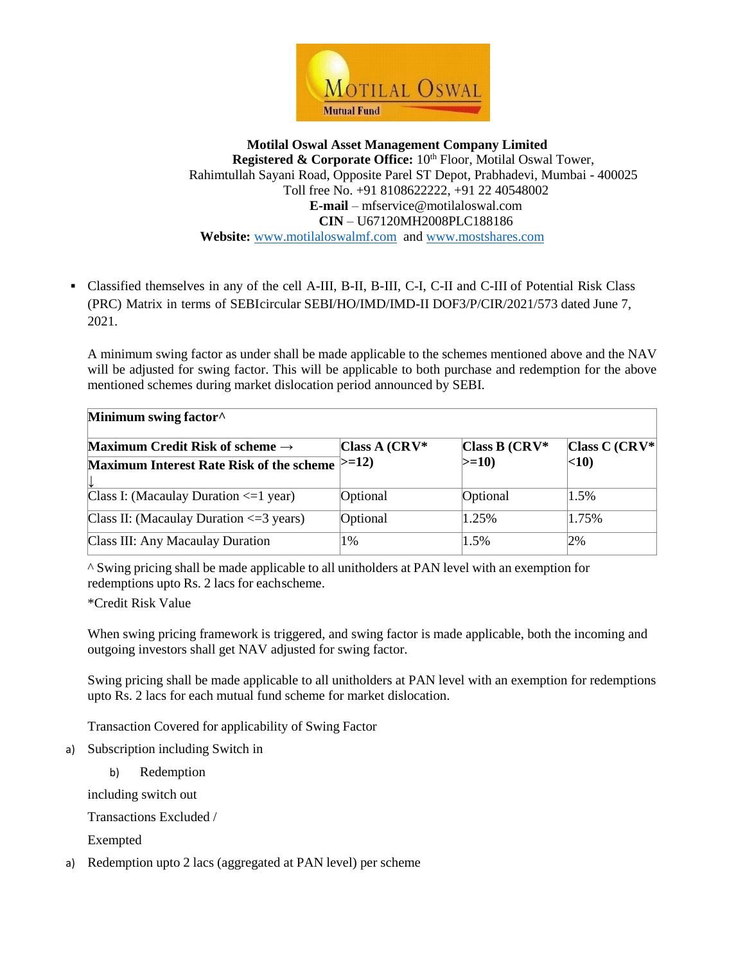

 Classified themselves in any of the cell A-III, B-II, B-III, C-I, C-II and C-III of Potential Risk Class (PRC) Matrix in terms of SEBIcircular SEBI/HO/IMD/IMD-II DOF3/P/CIR/2021/573 dated June 7, 2021.

A minimum swing factor as under shall be made applicable to the schemes mentioned above and the NAV will be adjusted for swing factor. This will be applicable to both purchase and redemption for the above mentioned schemes during market dislocation period announced by SEBI.

| Minimum swing factor <sup>^</sup>              |                  |                  |                  |  |  |
|------------------------------------------------|------------------|------------------|------------------|--|--|
| Maximum Credit Risk of scheme $\rightarrow$    | Class A $(CRV^*$ | Class B $(CRV^*$ | Class C $(CRV^*$ |  |  |
| Maximum Interest Rate Risk of the scheme >=12) |                  | $> = 10$         | <10              |  |  |
|                                                |                  |                  |                  |  |  |
| Class I: (Macaulay Duration $\leq 1$ year)     | Optional         | Optional         | 1.5%             |  |  |
| Class II: (Macaulay Duration $\leq$ =3 years)  | Optional         | 1.25%            | 1.75%            |  |  |
| Class III: Any Macaulay Duration               | 1%               | 1.5%             | 2%               |  |  |

^ Swing pricing shall be made applicable to all unitholders at PAN level with an exemption for redemptions upto Rs. 2 lacs for eachscheme.

\*Credit Risk Value

When swing pricing framework is triggered, and swing factor is made applicable, both the incoming and outgoing investors shall get NAV adjusted for swing factor.

Swing pricing shall be made applicable to all unitholders at PAN level with an exemption for redemptions upto Rs. 2 lacs for each mutual fund scheme for market dislocation.

Transaction Covered for applicability of Swing Factor

- a) Subscription including Switch in
	- b) Redemption

including switch out

Transactions Excluded /

Exempted

a) Redemption upto 2 lacs (aggregated at PAN level) per scheme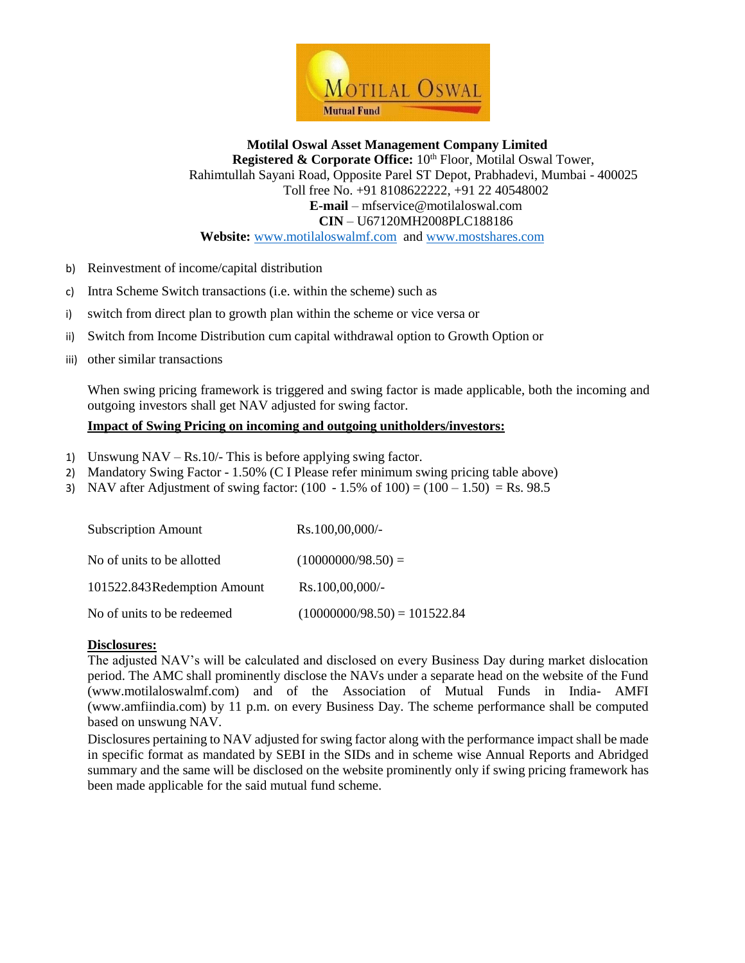

- b) Reinvestment of income/capital distribution
- c) Intra Scheme Switch transactions (i.e. within the scheme) such as
- i) switch from direct plan to growth plan within the scheme or vice versa or
- ii) Switch from Income Distribution cum capital withdrawal option to Growth Option or
- iii) other similar transactions

When swing pricing framework is triggered and swing factor is made applicable, both the incoming and outgoing investors shall get NAV adjusted for swing factor.

### **Impact of Swing Pricing on incoming and outgoing unitholders/investors:**

- 1) Unswung NAV Rs.10/- This is before applying swing factor.
- 2) Mandatory Swing Factor 1.50% (C I Please refer minimum swing pricing table above)
- 3) NAV after Adjustment of swing factor:  $(100 1.5\% \text{ of } 100) = (100 1.50) = \text{Rs } 98.5$

| <b>Subscription Amount</b>  | Rs.100,00,000/-                |
|-----------------------------|--------------------------------|
| No of units to be allotted  | $(10000000/98.50) =$           |
| 101522.843Redemption Amount | Rs.100,00,000/-                |
| No of units to be redeemed  | $(10000000/98.50) = 101522.84$ |

#### **Disclosures:**

The adjusted NAV's will be calculated and disclosed on every Business Day during market dislocation period. The AMC shall prominently disclose the NAVs under a separate head on the website of the Fund (www.motilaloswalmf.com) and of the Association of Mutual Funds in India- AMFI (www.amfiindia.com) by 11 p.m. on every Business Day. The scheme performance shall be computed based on unswung NAV.

Disclosures pertaining to NAV adjusted for swing factor along with the performance impact shall be made in specific format as mandated by SEBI in the SIDs and in scheme wise Annual Reports and Abridged summary and the same will be disclosed on the website prominently only if swing pricing framework has been made applicable for the said mutual fund scheme.